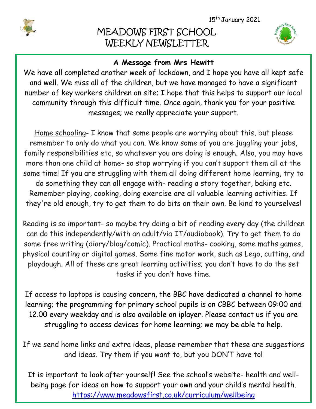

I

I

# MEADOWS FIRST SCHOOL WEEKLY NEWSLETTER



## **A Message from Mrs Hewitt**

We have all completed another week of lockdown, and I hope you have all kept safe and well. We miss all of the children, but we have managed to have a significant number of key workers children on site; I hope that this helps to support our local community through this difficult time. Once again, thank you for your positive messages; we really appreciate your support.

Home schooling- I know that some people are worrying about this, but please remember to only do what you can. We know some of you are juggling your jobs, family responsibilities etc, so whatever you are doing is enough. Also, you may have more than one child at home- so stop worrying if you can't support them all at the same time! If you are struggling with them all doing different home learning, try to do something they can all engage with- reading a story together, baking etc. Remember playing, cooking, doing exercise are all valuable learning activities. If they're old enough, try to get them to do bits on their own. Be kind to yourselves!

Reading is so important- so maybe try doing a bit of reading every day (the children can do this independently/with an adult/via IT/audiobook). Try to get them to do some free writing (diary/blog/comic). Practical maths- cooking, some maths games, physical counting or digital games. Some fine motor work, such as Lego, cutting, and playdough. All of these are great learning activities; you don't have to do the set tasks if you don't have time.

If access to laptops is causing concern, the BBC have dedicated a channel to home learning; the programming for primary school pupils is on CBBC between 09:00 and 12.00 every weekday and is also available on iplayer. Please contact us if you are struggling to access devices for home learning; we may be able to help.

If we send home links and extra ideas, please remember that these are suggestions and ideas. Try them if you want to, but you DON'T have to!

It is important to look after yourself! See the school's website- health and wellbeing page for ideas on how to support your own and your child's mental health. <https://www.meadowsfirst.co.uk/curriculum/wellbeing>